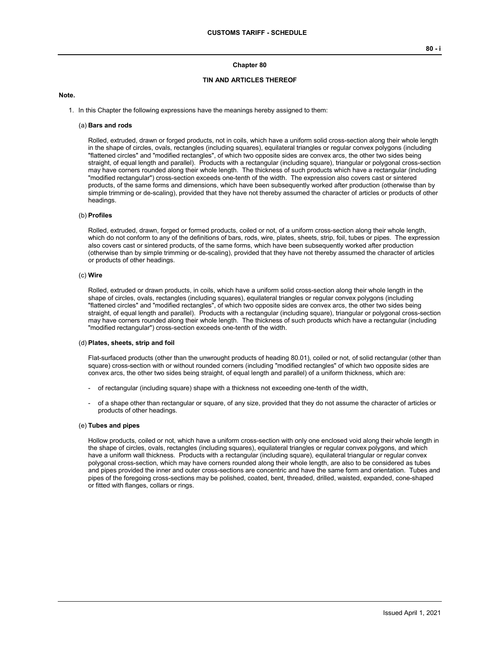#### **Chapter 80**

### **TIN AND ARTICLES THEREOF**

#### **Note.**

1. In this Chapter the following expressions have the meanings hereby assigned to them:

#### (a) **Bars and rods**

Rolled, extruded, drawn or forged products, not in coils, which have a uniform solid cross-section along their whole length in the shape of circles, ovals, rectangles (including squares), equilateral triangles or regular convex polygons (including "flattened circles" and "modified rectangles", of which two opposite sides are convex arcs, the other two sides being straight, of equal length and parallel). Products with a rectangular (including square), triangular or polygonal cross-section may have corners rounded along their whole length. The thickness of such products which have a rectangular (including "modified rectangular") cross-section exceeds one-tenth of the width. The expression also covers cast or sintered products, of the same forms and dimensions, which have been subsequently worked after production (otherwise than by simple trimming or de-scaling), provided that they have not thereby assumed the character of articles or products of other headings.

#### (b) **Profiles**

Rolled, extruded, drawn, forged or formed products, coiled or not, of a uniform cross-section along their whole length, which do not conform to any of the definitions of bars, rods, wire, plates, sheets, strip, foil, tubes or pipes. The expression also covers cast or sintered products, of the same forms, which have been subsequently worked after production (otherwise than by simple trimming or de-scaling), provided that they have not thereby assumed the character of articles or products of other headings.

#### (c) **Wire**

Rolled, extruded or drawn products, in coils, which have a uniform solid cross-section along their whole length in the shape of circles, ovals, rectangles (including squares), equilateral triangles or regular convex polygons (including "flattened circles" and "modified rectangles", of which two opposite sides are convex arcs, the other two sides being straight, of equal length and parallel). Products with a rectangular (including square), triangular or polygonal cross-section may have corners rounded along their whole length. The thickness of such products which have a rectangular (including "modified rectangular") cross-section exceeds one-tenth of the width.

#### (d) **Plates, sheets, strip and foil**

Flat-surfaced products (other than the unwrought products of heading 80.01), coiled or not, of solid rectangular (other than square) cross-section with or without rounded corners (including "modified rectangles" of which two opposite sides are convex arcs, the other two sides being straight, of equal length and parallel) of a uniform thickness, which are:

- of rectangular (including square) shape with a thickness not exceeding one-tenth of the width,
- of a shape other than rectangular or square, of any size, provided that they do not assume the character of articles or products of other headings.

#### (e) **Tubes and pipes**

Hollow products, coiled or not, which have a uniform cross-section with only one enclosed void along their whole length in the shape of circles, ovals, rectangles (including squares), equilateral triangles or regular convex polygons, and which have a uniform wall thickness. Products with a rectangular (including square), equilateral triangular or regular convex polygonal cross-section, which may have corners rounded along their whole length, are also to be considered as tubes and pipes provided the inner and outer cross-sections are concentric and have the same form and orientation. Tubes and pipes of the foregoing cross-sections may be polished, coated, bent, threaded, drilled, waisted, expanded, cone-shaped or fitted with flanges, collars or rings.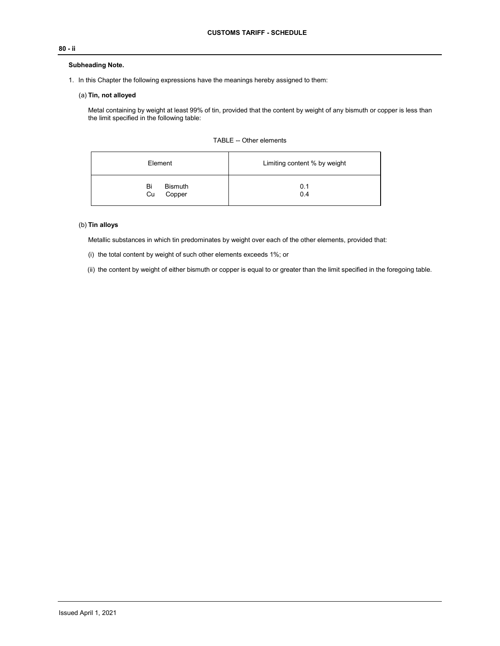# **80 - ii**

## **Subheading Note.**

1. In this Chapter the following expressions have the meanings hereby assigned to them:

## (a) **Tin, not alloyed**

Metal containing by weight at least 99% of tin, provided that the content by weight of any bismuth or copper is less than the limit specified in the following table:

| Element                              | Limiting content % by weight |  |  |
|--------------------------------------|------------------------------|--|--|
| <b>Bismuth</b><br>Bi<br>Copper<br>Cu | 0.1<br>0.4                   |  |  |

# (b) **Tin alloys**

Metallic substances in which tin predominates by weight over each of the other elements, provided that:

(i) the total content by weight of such other elements exceeds 1%; or

(ii) the content by weight of either bismuth or copper is equal to or greater than the limit specified in the foregoing table.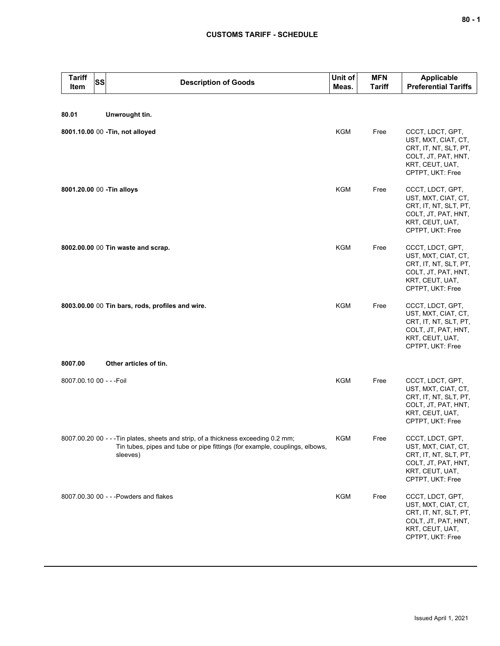# **CUSTOMS TARIFF - SCHEDULE**

| <b>Tariff</b><br><b>SS</b><br>Item | <b>Description of Goods</b>                                                                                                                                                   | Unit of<br>Meas. | <b>MFN</b><br><b>Tariff</b> | <b>Applicable</b><br><b>Preferential Tariffs</b>                                                                               |
|------------------------------------|-------------------------------------------------------------------------------------------------------------------------------------------------------------------------------|------------------|-----------------------------|--------------------------------------------------------------------------------------------------------------------------------|
| 80.01                              | Unwrought tin.                                                                                                                                                                |                  |                             |                                                                                                                                |
|                                    | 8001.10.00 00 - Tin, not alloyed                                                                                                                                              | <b>KGM</b>       | Free                        | CCCT, LDCT, GPT,<br>UST, MXT, CIAT, CT,<br>CRT, IT, NT, SLT, PT,<br>COLT, JT, PAT, HNT,<br>KRT, CEUT, UAT,<br>CPTPT, UKT: Free |
| 8001.20.00 00 - Tin alloys         |                                                                                                                                                                               | <b>KGM</b>       | Free                        | CCCT, LDCT, GPT,<br>UST, MXT, CIAT, CT,<br>CRT, IT, NT, SLT, PT,<br>COLT, JT, PAT, HNT,<br>KRT, CEUT, UAT,<br>CPTPT, UKT: Free |
|                                    | 8002.00.00 00 Tin waste and scrap.                                                                                                                                            | <b>KGM</b>       | Free                        | CCCT, LDCT, GPT,<br>UST, MXT, CIAT, CT,<br>CRT, IT, NT, SLT, PT,<br>COLT, JT, PAT, HNT,<br>KRT, CEUT, UAT,<br>CPTPT, UKT: Free |
|                                    | 8003.00.00 00 Tin bars, rods, profiles and wire.                                                                                                                              | <b>KGM</b>       | Free                        | CCCT, LDCT, GPT,<br>UST, MXT, CIAT, CT,<br>CRT, IT, NT, SLT, PT,<br>COLT, JT, PAT, HNT,<br>KRT, CEUT, UAT,<br>CPTPT, UKT: Free |
| 8007.00                            | Other articles of tin.                                                                                                                                                        |                  |                             |                                                                                                                                |
| 8007.00.10 00 - - - Foil           |                                                                                                                                                                               | <b>KGM</b>       | Free                        | CCCT, LDCT, GPT,<br>UST, MXT, CIAT, CT,<br>CRT, IT, NT, SLT, PT,<br>COLT, JT, PAT, HNT,<br>KRT, CEUT, UAT,<br>CPTPT, UKT: Free |
|                                    | 8007.00.20 00 - - - Tin plates, sheets and strip, of a thickness exceeding 0.2 mm;<br>Tin tubes, pipes and tube or pipe fittings (for example, couplings, elbows,<br>sleeves) | KGM              | Free                        | CCCT, LDCT, GPT,<br>UST, MXT, CIAT, CT,<br>CRT, IT, NT, SLT, PT,<br>COLT, JT, PAT, HNT,<br>KRT, CEUT, UAT,<br>CPTPT, UKT: Free |
|                                    | 8007.00.30 00 - - - Powders and flakes                                                                                                                                        | KGM              | Free                        | CCCT, LDCT, GPT,<br>UST, MXT, CIAT, CT,<br>CRT, IT, NT, SLT, PT,<br>COLT, JT, PAT, HNT,<br>KRT, CEUT, UAT,<br>CPTPT, UKT: Free |